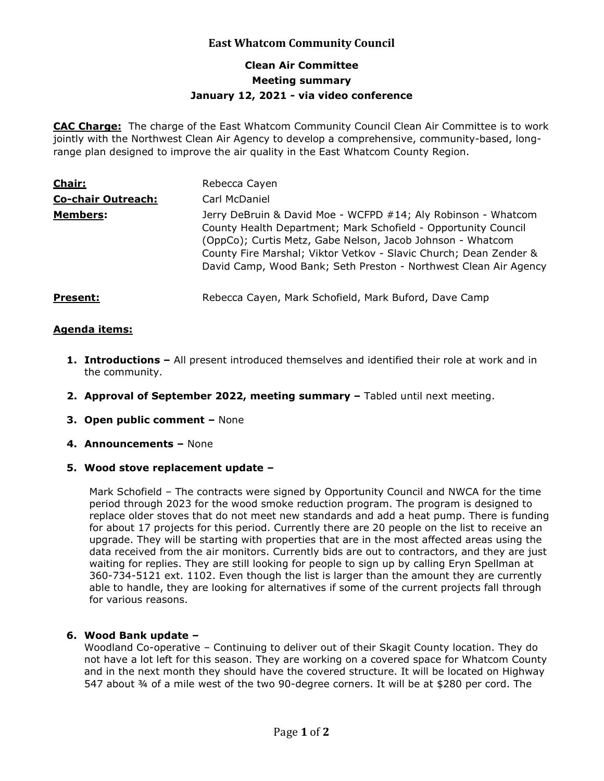# **East Whatcom Community Council**

## **Clean Air Committee Meeting summary January 12, 2021 - via video conference**

**CAC Charge:** The charge of the East Whatcom Community Council Clean Air Committee is to work jointly with the Northwest Clean Air Agency to develop a comprehensive, community-based, longrange plan designed to improve the air quality in the East Whatcom County Region.

| <b>Chair:</b>             | Rebecca Cayen                                                                                                                                                                                                                                                                                                                          |
|---------------------------|----------------------------------------------------------------------------------------------------------------------------------------------------------------------------------------------------------------------------------------------------------------------------------------------------------------------------------------|
| <b>Co-chair Outreach:</b> | Carl McDaniel                                                                                                                                                                                                                                                                                                                          |
| <b>Members:</b>           | Jerry DeBruin & David Moe - WCFPD #14; Aly Robinson - Whatcom<br>County Health Department; Mark Schofield - Opportunity Council<br>(OppCo); Curtis Metz, Gabe Nelson, Jacob Johnson - Whatcom<br>County Fire Marshal; Viktor Vetkov - Slavic Church; Dean Zender &<br>David Camp, Wood Bank; Seth Preston - Northwest Clean Air Agency |
| <b>Present:</b>           | Rebecca Cayen, Mark Schofield, Mark Buford, Dave Camp                                                                                                                                                                                                                                                                                  |

### **Agenda items:**

- **1. Introductions –** All present introduced themselves and identified their role at work and in the community.
- **2. Approval of September 2022, meeting summary –** Tabled until next meeting.
- **3. Open public comment –** None
- **4. Announcements –** None
- **5. Wood stove replacement update –**

Mark Schofield – The contracts were signed by Opportunity Council and NWCA for the time period through 2023 for the wood smoke reduction program. The program is designed to replace older stoves that do not meet new standards and add a heat pump. There is funding for about 17 projects for this period. Currently there are 20 people on the list to receive an upgrade. They will be starting with properties that are in the most affected areas using the data received from the air monitors. Currently bids are out to contractors, and they are just waiting for replies. They are still looking for people to sign up by calling Eryn Spellman at 360-734-5121 ext. 1102. Even though the list is larger than the amount they are currently able to handle, they are looking for alternatives if some of the current projects fall through for various reasons.

### **6. Wood Bank update –**

Woodland Co-operative – Continuing to deliver out of their Skagit County location. They do not have a lot left for this season. They are working on a covered space for Whatcom County and in the next month they should have the covered structure. It will be located on Highway 547 about ¾ of a mile west of the two 90-degree corners. It will be at \$280 per cord. The